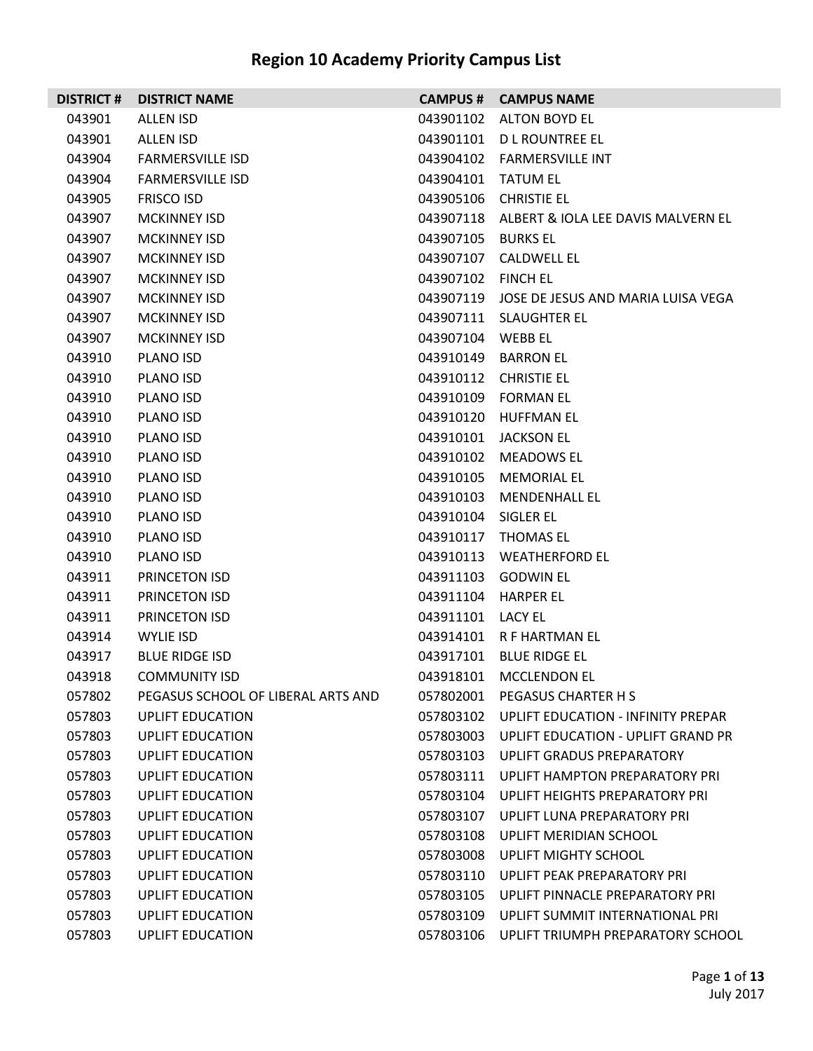| <b>DISTRICT#</b> | <b>DISTRICT NAME</b>               | <b>CAMPUS #</b>    | <b>CAMPUS NAME</b>                           |
|------------------|------------------------------------|--------------------|----------------------------------------------|
| 043901           | ALLEN ISD                          | 043901102          | <b>ALTON BOYD EL</b>                         |
| 043901           | ALLEN ISD                          | 043901101          | D L ROUNTREE EL                              |
| 043904           | <b>FARMERSVILLE ISD</b>            | 043904102          | <b>FARMERSVILLE INT</b>                      |
| 043904           | <b>FARMERSVILLE ISD</b>            | 043904101 TATUM EL |                                              |
| 043905           | <b>FRISCO ISD</b>                  | 043905106          | <b>CHRISTIE EL</b>                           |
| 043907           | <b>MCKINNEY ISD</b>                |                    | 043907118 ALBERT & IOLA LEE DAVIS MALVERN EL |
| 043907           | <b>MCKINNEY ISD</b>                | 043907105          | <b>BURKS EL</b>                              |
| 043907           | <b>MCKINNEY ISD</b>                | 043907107          | <b>CALDWELL EL</b>                           |
| 043907           | <b>MCKINNEY ISD</b>                | 043907102          | <b>FINCH EL</b>                              |
| 043907           | <b>MCKINNEY ISD</b>                |                    | 043907119 JOSE DE JESUS AND MARIA LUISA VEGA |
| 043907           | <b>MCKINNEY ISD</b>                |                    | 043907111 SLAUGHTER EL                       |
| 043907           | <b>MCKINNEY ISD</b>                | 043907104          | WEBB EL                                      |
| 043910           | PLANO ISD                          | 043910149          | <b>BARRON EL</b>                             |
| 043910           | PLANO ISD                          | 043910112          | <b>CHRISTIE EL</b>                           |
| 043910           | PLANO ISD                          | 043910109          | <b>FORMAN EL</b>                             |
| 043910           | PLANO ISD                          | 043910120          | <b>HUFFMAN EL</b>                            |
| 043910           | PLANO ISD                          | 043910101          | <b>JACKSON EL</b>                            |
| 043910           | PLANO ISD                          | 043910102          | <b>MEADOWS EL</b>                            |
| 043910           | PLANO ISD                          | 043910105          | <b>MEMORIAL EL</b>                           |
| 043910           | PLANO ISD                          | 043910103          | <b>MENDENHALL EL</b>                         |
| 043910           | PLANO ISD                          | 043910104          | SIGLER EL                                    |
| 043910           | PLANO ISD                          |                    | 043910117 THOMAS EL                          |
| 043910           | PLANO ISD                          | 043910113          | <b>WEATHERFORD EL</b>                        |
| 043911           | PRINCETON ISD                      |                    | 043911103 GODWIN EL                          |
| 043911           | PRINCETON ISD                      | 043911104          | <b>HARPER EL</b>                             |
| 043911           | PRINCETON ISD                      | 043911101          | <b>LACY EL</b>                               |
| 043914           | WYLIE ISD                          | 043914101          | R F HARTMAN EL                               |
| 043917           | <b>BLUE RIDGE ISD</b>              | 043917101          | <b>BLUE RIDGE EL</b>                         |
| 043918           | <b>COMMUNITY ISD</b>               |                    | 043918101 MCCLENDON EL                       |
| 057802           | PEGASUS SCHOOL OF LIBERAL ARTS AND |                    | 057802001 PEGASUS CHARTER H S                |
| 057803           | <b>UPLIFT EDUCATION</b>            | 057803102          | UPLIFT EDUCATION - INFINITY PREPAR           |
| 057803           | UPLIFT EDUCATION                   | 057803003          | UPLIFT EDUCATION - UPLIFT GRAND PR           |
| 057803           | UPLIFT EDUCATION                   | 057803103          | UPLIFT GRADUS PREPARATORY                    |
| 057803           | UPLIFT EDUCATION                   | 057803111          | UPLIFT HAMPTON PREPARATORY PRI               |
| 057803           | <b>UPLIFT EDUCATION</b>            | 057803104          | UPLIFT HEIGHTS PREPARATORY PRI               |
| 057803           | UPLIFT EDUCATION                   | 057803107          | UPLIFT LUNA PREPARATORY PRI                  |
| 057803           | <b>UPLIFT EDUCATION</b>            | 057803108          | UPLIFT MERIDIAN SCHOOL                       |
| 057803           | UPLIFT EDUCATION                   | 057803008          | UPLIFT MIGHTY SCHOOL                         |
| 057803           | <b>UPLIFT EDUCATION</b>            | 057803110          | UPLIFT PEAK PREPARATORY PRI                  |
| 057803           | UPLIFT EDUCATION                   | 057803105          | UPLIFT PINNACLE PREPARATORY PRI              |
| 057803           | <b>UPLIFT EDUCATION</b>            | 057803109          | UPLIFT SUMMIT INTERNATIONAL PRI              |
| 057803           | <b>UPLIFT EDUCATION</b>            | 057803106          | UPLIFT TRIUMPH PREPARATORY SCHOOL            |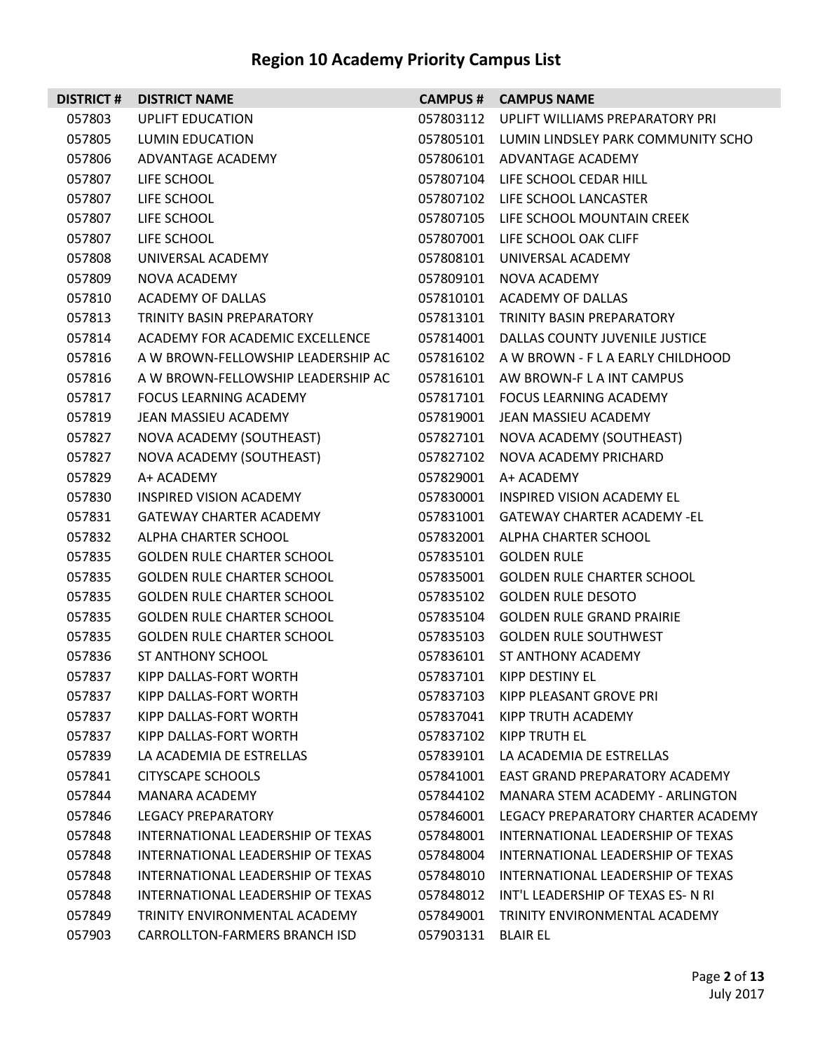| <b>DISTRICT#</b> | <b>DISTRICT NAME</b>               |           | <b>CAMPUS # CAMPUS NAME</b>                  |
|------------------|------------------------------------|-----------|----------------------------------------------|
| 057803           | <b>UPLIFT EDUCATION</b>            |           | 057803112 UPLIFT WILLIAMS PREPARATORY PRI    |
| 057805           | LUMIN EDUCATION                    |           | 057805101 LUMIN LINDSLEY PARK COMMUNITY SCHO |
| 057806           | ADVANTAGE ACADEMY                  |           | 057806101 ADVANTAGE ACADEMY                  |
| 057807           | LIFE SCHOOL                        |           | 057807104 LIFE SCHOOL CEDAR HILL             |
| 057807           | LIFE SCHOOL                        |           | 057807102 LIFE SCHOOL LANCASTER              |
| 057807           | LIFE SCHOOL                        |           | 057807105 LIFE SCHOOL MOUNTAIN CREEK         |
| 057807           | LIFE SCHOOL                        | 057807001 | LIFE SCHOOL OAK CLIFF                        |
| 057808           | UNIVERSAL ACADEMY                  |           | 057808101 UNIVERSAL ACADEMY                  |
| 057809           | NOVA ACADEMY                       | 057809101 | NOVA ACADEMY                                 |
| 057810           | ACADEMY OF DALLAS                  |           | 057810101 ACADEMY OF DALLAS                  |
| 057813           | TRINITY BASIN PREPARATORY          | 057813101 | TRINITY BASIN PREPARATORY                    |
| 057814           | ACADEMY FOR ACADEMIC EXCELLENCE    |           | 057814001 DALLAS COUNTY JUVENILE JUSTICE     |
| 057816           | A W BROWN-FELLOWSHIP LEADERSHIP AC |           | 057816102 A W BROWN - F L A EARLY CHILDHOOD  |
| 057816           | A W BROWN-FELLOWSHIP LEADERSHIP AC |           | 057816101 AW BROWN-FLAINT CAMPUS             |
| 057817           | FOCUS LEARNING ACADEMY             | 057817101 | <b>FOCUS LEARNING ACADEMY</b>                |
| 057819           | JEAN MASSIEU ACADEMY               |           | 057819001 JEAN MASSIEU ACADEMY               |
| 057827           | NOVA ACADEMY (SOUTHEAST)           | 057827101 | NOVA ACADEMY (SOUTHEAST)                     |
| 057827           | NOVA ACADEMY (SOUTHEAST)           | 057827102 | NOVA ACADEMY PRICHARD                        |
| 057829           | A+ ACADEMY                         | 057829001 | A+ ACADEMY                                   |
| 057830           | INSPIRED VISION ACADEMY            |           | 057830001 INSPIRED VISION ACADEMY EL         |
| 057831           | GATEWAY CHARTER ACADEMY            |           | 057831001 GATEWAY CHARTER ACADEMY -EL        |
| 057832           | ALPHA CHARTER SCHOOL               |           | 057832001 ALPHA CHARTER SCHOOL               |
| 057835           | <b>GOLDEN RULE CHARTER SCHOOL</b>  | 057835101 | <b>GOLDEN RULE</b>                           |
| 057835           | <b>GOLDEN RULE CHARTER SCHOOL</b>  |           | 057835001 GOLDEN RULE CHARTER SCHOOL         |
| 057835           | <b>GOLDEN RULE CHARTER SCHOOL</b>  | 057835102 | <b>GOLDEN RULE DESOTO</b>                    |
| 057835           | <b>GOLDEN RULE CHARTER SCHOOL</b>  |           | 057835104 GOLDEN RULE GRAND PRAIRIE          |
| 057835           | <b>GOLDEN RULE CHARTER SCHOOL</b>  | 057835103 | <b>GOLDEN RULE SOUTHWEST</b>                 |
| 057836           | ST ANTHONY SCHOOL                  |           | 057836101 ST ANTHONY ACADEMY                 |
| 057837           | KIPP DALLAS-FORT WORTH             | 057837101 | KIPP DESTINY EL                              |
| 057837           | KIPP DALLAS-FORT WORTH             | 057837103 | KIPP PLEASANT GROVE PRI                      |
| 057837           | KIPP DALLAS-FORT WORTH             | 057837041 | KIPP TRUTH ACADEMY                           |
| 057837           | KIPP DALLAS-FORT WORTH             | 057837102 | KIPP TRUTH EL                                |
| 057839           | LA ACADEMIA DE ESTRELLAS           | 057839101 | LA ACADEMIA DE ESTRELLAS                     |
| 057841           | CITYSCAPE SCHOOLS                  | 057841001 | EAST GRAND PREPARATORY ACADEMY               |
| 057844           | <b>MANARA ACADEMY</b>              | 057844102 | MANARA STEM ACADEMY - ARLINGTON              |
| 057846           | <b>LEGACY PREPARATORY</b>          | 057846001 | LEGACY PREPARATORY CHARTER ACADEMY           |
| 057848           | INTERNATIONAL LEADERSHIP OF TEXAS  | 057848001 | INTERNATIONAL LEADERSHIP OF TEXAS            |
| 057848           | INTERNATIONAL LEADERSHIP OF TEXAS  | 057848004 | INTERNATIONAL LEADERSHIP OF TEXAS            |
| 057848           | INTERNATIONAL LEADERSHIP OF TEXAS  | 057848010 | INTERNATIONAL LEADERSHIP OF TEXAS            |
| 057848           | INTERNATIONAL LEADERSHIP OF TEXAS  | 057848012 | INT'L LEADERSHIP OF TEXAS ES- N RI           |
| 057849           | TRINITY ENVIRONMENTAL ACADEMY      | 057849001 | TRINITY ENVIRONMENTAL ACADEMY                |
| 057903           | CARROLLTON-FARMERS BRANCH ISD      | 057903131 | <b>BLAIR EL</b>                              |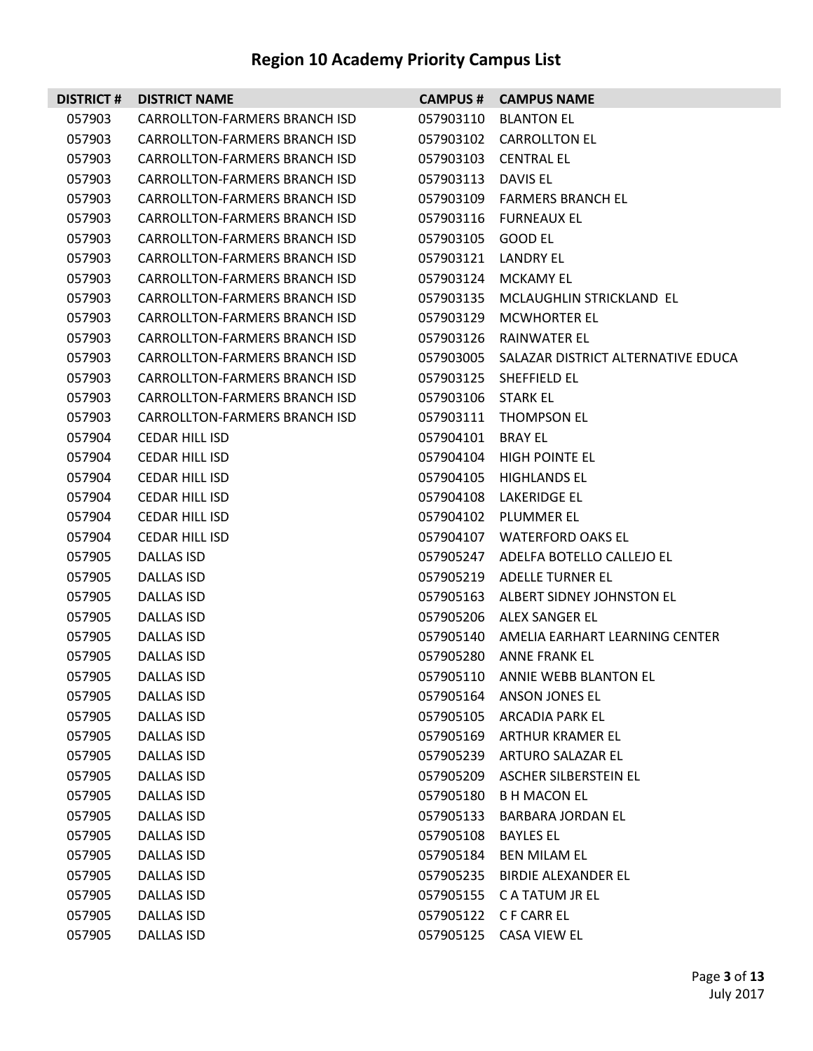| <b>DISTRICT#</b> | <b>DISTRICT NAME</b>                 |                     | <b>CAMPUS # CAMPUS NAME</b>                  |
|------------------|--------------------------------------|---------------------|----------------------------------------------|
| 057903           | CARROLLTON-FARMERS BRANCH ISD        |                     | 057903110 BLANTON EL                         |
| 057903           | CARROLLTON-FARMERS BRANCH ISD        |                     | 057903102 CARROLLTON EL                      |
| 057903           | CARROLLTON-FARMERS BRANCH ISD        |                     | 057903103 CENTRAL EL                         |
| 057903           | CARROLLTON-FARMERS BRANCH ISD        | 057903113 DAVIS EL  |                                              |
| 057903           | CARROLLTON-FARMERS BRANCH ISD        |                     | 057903109 FARMERS BRANCH EL                  |
| 057903           | CARROLLTON-FARMERS BRANCH ISD        |                     | 057903116 FURNEAUX EL                        |
| 057903           | CARROLLTON-FARMERS BRANCH ISD        | 057903105 GOOD EL   |                                              |
| 057903           | CARROLLTON-FARMERS BRANCH ISD        | 057903121 LANDRY EL |                                              |
| 057903           | CARROLLTON-FARMERS BRANCH ISD        |                     | 057903124 MCKAMY EL                          |
| 057903           | CARROLLTON-FARMERS BRANCH ISD        |                     | 057903135 MCLAUGHLIN STRICKLAND EL           |
| 057903           | CARROLLTON-FARMERS BRANCH ISD        |                     | 057903129 MCWHORTER EL                       |
| 057903           | CARROLLTON-FARMERS BRANCH ISD        |                     | 057903126 RAINWATER EL                       |
| 057903           | <b>CARROLLTON-FARMERS BRANCH ISD</b> |                     | 057903005 SALAZAR DISTRICT ALTERNATIVE EDUCA |
| 057903           | CARROLLTON-FARMERS BRANCH ISD        |                     | 057903125 SHEFFIELD EL                       |
| 057903           | CARROLLTON-FARMERS BRANCH ISD        | 057903106 STARK EL  |                                              |
| 057903           | CARROLLTON-FARMERS BRANCH ISD        |                     | 057903111 THOMPSON EL                        |
| 057904           | <b>CEDAR HILL ISD</b>                | 057904101 BRAY EL   |                                              |
| 057904           | <b>CEDAR HILL ISD</b>                |                     | 057904104 HIGH POINTE EL                     |
| 057904           | <b>CEDAR HILL ISD</b>                |                     | 057904105 HIGHLANDS EL                       |
| 057904           | CEDAR HILL ISD                       |                     | 057904108 LAKERIDGE EL                       |
| 057904           | <b>CEDAR HILL ISD</b>                |                     | 057904102 PLUMMER EL                         |
| 057904           | <b>CEDAR HILL ISD</b>                |                     | 057904107 WATERFORD OAKS EL                  |
| 057905           | <b>DALLAS ISD</b>                    |                     | 057905247 ADELFA BOTELLO CALLEJO EL          |
| 057905           | DALLAS ISD                           |                     | 057905219 ADELLE TURNER EL                   |
| 057905           | DALLAS ISD                           |                     | 057905163 ALBERT SIDNEY JOHNSTON EL          |
| 057905           | DALLAS ISD                           |                     | 057905206 ALEX SANGER EL                     |
| 057905           | <b>DALLAS ISD</b>                    |                     | 057905140 AMELIA EARHART LEARNING CENTER     |
| 057905           | DALLAS ISD                           |                     | 057905280 ANNE FRANK EL                      |
| 057905           | <b>DALLAS ISD</b>                    |                     | 057905110 ANNIE WEBB BLANTON EL              |
| 057905           | <b>DALLAS ISD</b>                    |                     | 057905164 ANSON JONES EL                     |
| 057905           | DALLAS ISD                           |                     | 057905105 ARCADIA PARK EL                    |
| 057905           | <b>DALLAS ISD</b>                    |                     | 057905169 ARTHUR KRAMER EL                   |
| 057905           | <b>DALLAS ISD</b>                    |                     | 057905239 ARTURO SALAZAR EL                  |
| 057905           | DALLAS ISD                           |                     | 057905209 ASCHER SILBERSTEIN EL              |
| 057905           | DALLAS ISD                           | 057905180           | B H MACON EL                                 |
| 057905           | DALLAS ISD                           | 057905133           | BARBARA JORDAN EL                            |
| 057905           | DALLAS ISD                           | 057905108           | <b>BAYLES EL</b>                             |
| 057905           | DALLAS ISD                           |                     | 057905184 BEN MILAM EL                       |
| 057905           | DALLAS ISD                           |                     | 057905235 BIRDIE ALEXANDER EL                |
| 057905           | DALLAS ISD                           |                     | 057905155 C A TATUM JR EL                    |
| 057905           | <b>DALLAS ISD</b>                    |                     | 057905122 CF CARR EL                         |
| 057905           | DALLAS ISD                           |                     | 057905125 CASA VIEW EL                       |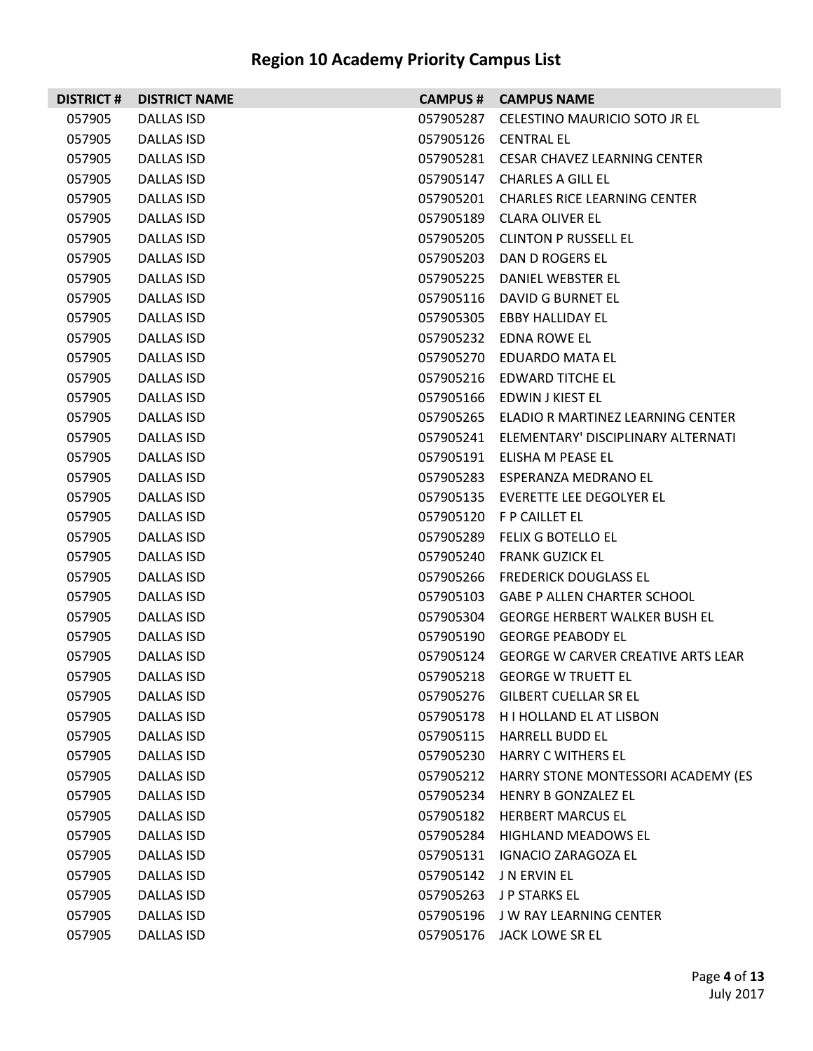|        | <b>DISTRICT # DISTRICT NAME</b> |           | <b>CAMPUS # CAMPUS NAME</b>                  |
|--------|---------------------------------|-----------|----------------------------------------------|
| 057905 | DALLAS ISD                      | 057905287 | CELESTINO MAURICIO SOTO JR EL                |
| 057905 | DALLAS ISD                      |           | 057905126 CENTRAL EL                         |
| 057905 | DALLAS ISD                      |           | 057905281 CESAR CHAVEZ LEARNING CENTER       |
| 057905 | DALLAS ISD                      |           | 057905147 CHARLES A GILL EL                  |
| 057905 | <b>DALLAS ISD</b>               |           | 057905201 CHARLES RICE LEARNING CENTER       |
| 057905 | DALLAS ISD                      |           | 057905189 CLARA OLIVER EL                    |
| 057905 | DALLAS ISD                      |           | 057905205 CLINTON P RUSSELL EL               |
| 057905 | DALLAS ISD                      |           | 057905203 DAN D ROGERS EL                    |
| 057905 | <b>DALLAS ISD</b>               |           | 057905225 DANIEL WEBSTER EL                  |
| 057905 | DALLAS ISD                      |           | 057905116 DAVID G BURNET EL                  |
| 057905 | DALLAS ISD                      |           | 057905305 EBBY HALLIDAY EL                   |
| 057905 | DALLAS ISD                      |           | 057905232 EDNA ROWE EL                       |
| 057905 | <b>DALLAS ISD</b>               |           | 057905270 EDUARDO MATA EL                    |
| 057905 | DALLAS ISD                      |           | 057905216 EDWARD TITCHE EL                   |
| 057905 | DALLAS ISD                      |           | 057905166 EDWIN J KIEST EL                   |
| 057905 | DALLAS ISD                      |           | 057905265 ELADIO R MARTINEZ LEARNING CENTER  |
| 057905 | <b>DALLAS ISD</b>               |           | 057905241 ELEMENTARY' DISCIPLINARY ALTERNATI |
| 057905 | DALLAS ISD                      |           | 057905191 ELISHA M PEASE EL                  |
| 057905 | DALLAS ISD                      |           | 057905283 ESPERANZA MEDRANO EL               |
| 057905 | DALLAS ISD                      |           | 057905135 EVERETTE LEE DEGOLYER EL           |
| 057905 | DALLAS ISD                      |           | 057905120 F P CAILLET EL                     |
| 057905 | DALLAS ISD                      |           | 057905289 FELIX G BOTELLO EL                 |
| 057905 | DALLAS ISD                      |           | 057905240 FRANK GUZICK EL                    |
| 057905 | DALLAS ISD                      |           | 057905266 FREDERICK DOUGLASS EL              |
| 057905 | DALLAS ISD                      |           | 057905103 GABE P ALLEN CHARTER SCHOOL        |
| 057905 | DALLAS ISD                      |           | 057905304 GEORGE HERBERT WALKER BUSH EL      |
| 057905 | <b>DALLAS ISD</b>               |           | 057905190 GEORGE PEABODY EL                  |
| 057905 | <b>DALLAS ISD</b>               |           | 057905124 GEORGE W CARVER CREATIVE ARTS LEAR |
| 057905 | <b>DALLAS ISD</b>               |           | 057905218 GEORGE W TRUETT EL                 |
| 057905 | <b>DALLAS ISD</b>               |           | 057905276 GILBERT CUELLAR SR EL              |
| 057905 | <b>DALLAS ISD</b>               |           | 057905178 H I HOLLAND EL AT LISBON           |
| 057905 | <b>DALLAS ISD</b>               |           | 057905115 HARRELL BUDD EL                    |
| 057905 | <b>DALLAS ISD</b>               |           | 057905230 HARRY C WITHERS EL                 |
| 057905 | <b>DALLAS ISD</b>               |           | 057905212 HARRY STONE MONTESSORI ACADEMY (ES |
| 057905 | <b>DALLAS ISD</b>               |           | 057905234 HENRY B GONZALEZ EL                |
| 057905 | <b>DALLAS ISD</b>               |           | 057905182 HERBERT MARCUS EL                  |
| 057905 | <b>DALLAS ISD</b>               |           | 057905284 HIGHLAND MEADOWS EL                |
| 057905 | <b>DALLAS ISD</b>               |           | 057905131 IGNACIO ZARAGOZA EL                |
| 057905 | <b>DALLAS ISD</b>               |           | 057905142 J N ERVIN EL                       |
| 057905 | <b>DALLAS ISD</b>               |           | 057905263 J P STARKS EL                      |
| 057905 | DALLAS ISD                      |           | 057905196 JW RAY LEARNING CENTER             |
| 057905 | <b>DALLAS ISD</b>               |           | 057905176 JACK LOWE SR EL                    |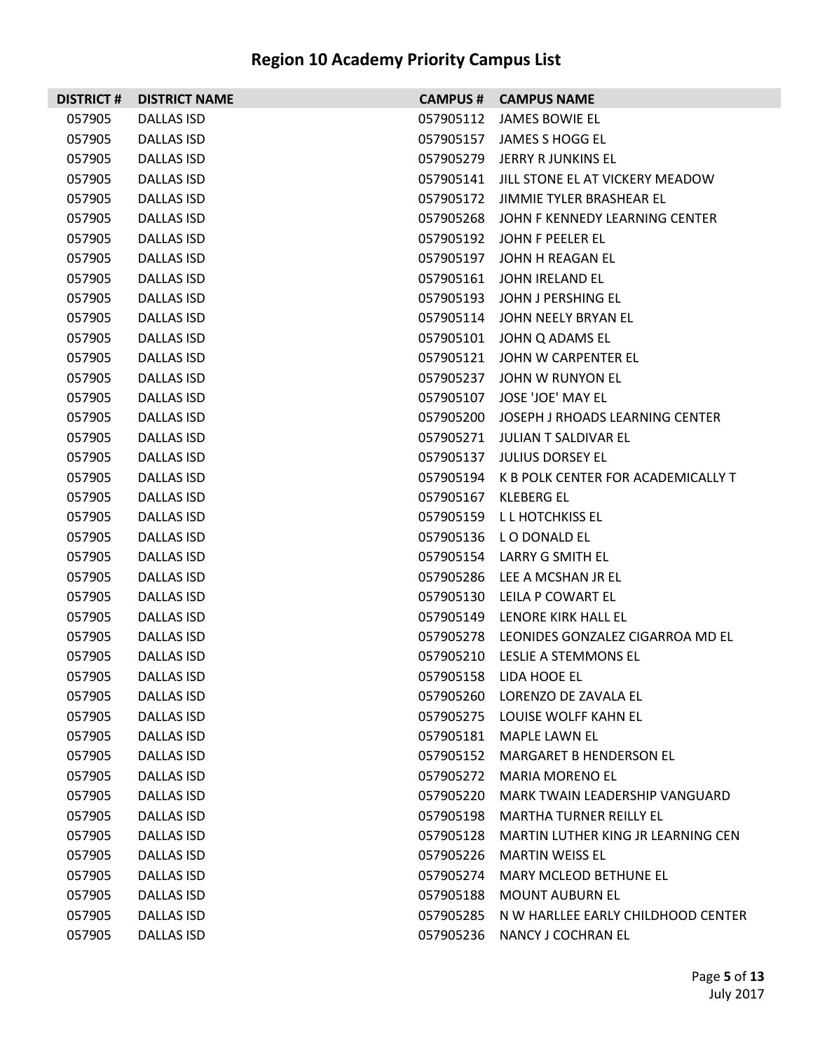| <b>DISTRICT#</b> | <b>DISTRICT NAME</b> | <b>CAMPUS #</b> | <b>CAMPUS NAME</b>                 |
|------------------|----------------------|-----------------|------------------------------------|
| 057905           | <b>DALLAS ISD</b>    | 057905112       | <b>JAMES BOWIE EL</b>              |
| 057905           | DALLAS ISD           | 057905157       | JAMES S HOGG EL                    |
| 057905           | <b>DALLAS ISD</b>    | 057905279       | JERRY R JUNKINS EL                 |
| 057905           | DALLAS ISD           | 057905141       | JILL STONE EL AT VICKERY MEADOW    |
| 057905           | DALLAS ISD           | 057905172       | JIMMIE TYLER BRASHEAR EL           |
| 057905           | DALLAS ISD           | 057905268       | JOHN F KENNEDY LEARNING CENTER     |
| 057905           | <b>DALLAS ISD</b>    | 057905192       | JOHN F PEELER EL                   |
| 057905           | DALLAS ISD           | 057905197       | JOHN H REAGAN EL                   |
| 057905           | <b>DALLAS ISD</b>    | 057905161       | JOHN IRELAND EL                    |
| 057905           | DALLAS ISD           | 057905193       | JOHN J PERSHING EL                 |
| 057905           | <b>DALLAS ISD</b>    | 057905114       | JOHN NEELY BRYAN EL                |
| 057905           | DALLAS ISD           | 057905101       | JOHN Q ADAMS EL                    |
| 057905           | <b>DALLAS ISD</b>    | 057905121       | JOHN W CARPENTER EL                |
| 057905           | DALLAS ISD           | 057905237       | JOHN W RUNYON EL                   |
| 057905           | <b>DALLAS ISD</b>    | 057905107       | JOSE 'JOE' MAY EL                  |
| 057905           | DALLAS ISD           | 057905200       | JOSEPH J RHOADS LEARNING CENTER    |
| 057905           | <b>DALLAS ISD</b>    | 057905271       | JULIAN T SALDIVAR EL               |
| 057905           | <b>DALLAS ISD</b>    | 057905137       | <b>JULIUS DORSEY EL</b>            |
| 057905           | <b>DALLAS ISD</b>    | 057905194       | K B POLK CENTER FOR ACADEMICALLY T |
| 057905           | DALLAS ISD           | 057905167       | KLEBERG EL                         |
| 057905           | DALLAS ISD           | 057905159       | L L HOTCHKISS EL                   |
| 057905           | DALLAS ISD           | 057905136       | LO DONALD EL                       |
| 057905           | <b>DALLAS ISD</b>    | 057905154       | LARRY G SMITH EL                   |
| 057905           | DALLAS ISD           | 057905286       | LEE A MCSHAN JR EL                 |
| 057905           | DALLAS ISD           | 057905130       | LEILA P COWART EL                  |
| 057905           | DALLAS ISD           | 057905149       | LENORE KIRK HALL EL                |
| 057905           | <b>DALLAS ISD</b>    | 057905278       | LEONIDES GONZALEZ CIGARROA MD EL   |
| 057905           | DALLAS ISD           | 057905210       | LESLIE A STEMMONS EL               |
| 057905           | <b>DALLAS ISD</b>    | 057905158       | LIDA HOOE EL                       |
| 057905           | DALLAS ISD           | 057905260       | LORENZO DE ZAVALA EL               |
| 057905           | DALLAS ISD           | 057905275       | LOUISE WOLFF KAHN EL               |
| 057905           | DALLAS ISD           | 057905181       | MAPLE LAWN EL                      |
| 057905           | DALLAS ISD           | 057905152       | MARGARET B HENDERSON EL            |
| 057905           | DALLAS ISD           | 057905272       | <b>MARIA MORENO EL</b>             |
| 057905           | DALLAS ISD           | 057905220       | MARK TWAIN LEADERSHIP VANGUARD     |
| 057905           | DALLAS ISD           | 057905198       | <b>MARTHA TURNER REILLY EL</b>     |
| 057905           | <b>DALLAS ISD</b>    | 057905128       | MARTIN LUTHER KING JR LEARNING CEN |
| 057905           | DALLAS ISD           | 057905226       | <b>MARTIN WEISS EL</b>             |
| 057905           | DALLAS ISD           | 057905274       | MARY MCLEOD BETHUNE EL             |
| 057905           | DALLAS ISD           | 057905188       | <b>MOUNT AUBURN EL</b>             |
| 057905           | <b>DALLAS ISD</b>    | 057905285       | N W HARLLEE EARLY CHILDHOOD CENTER |
| 057905           | DALLAS ISD           | 057905236       | NANCY J COCHRAN EL                 |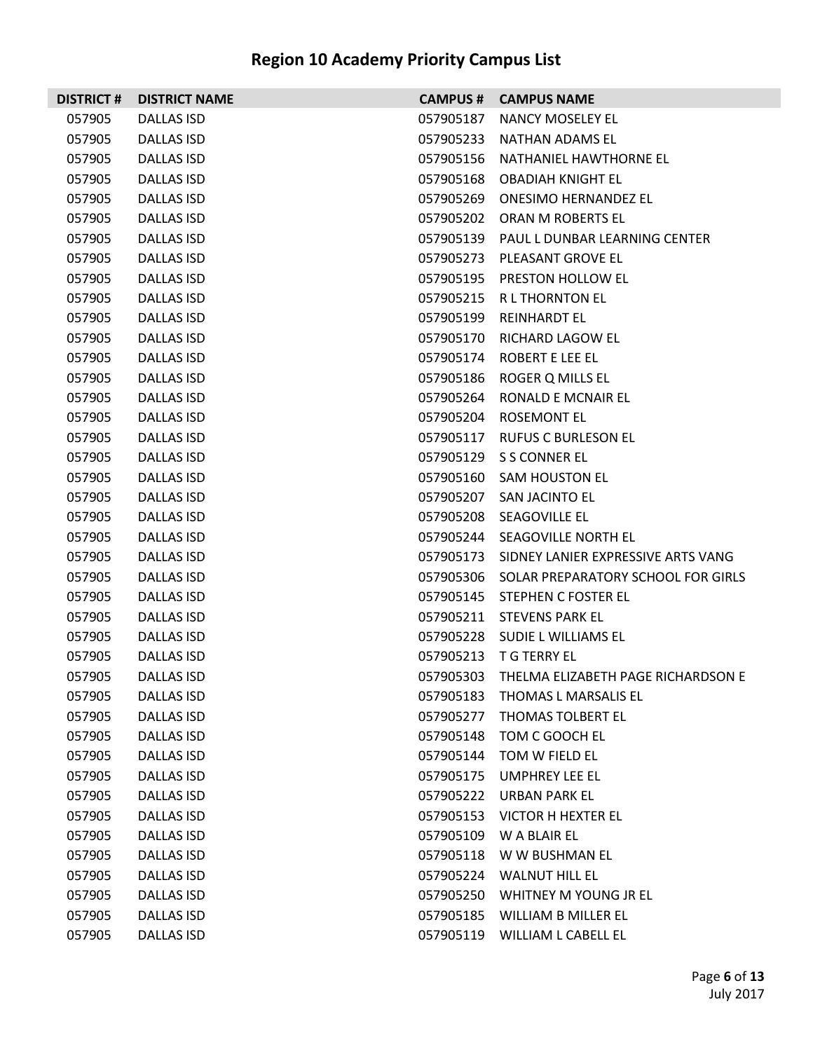| <b>DISTRICT#</b> | <b>DISTRICT NAME</b> | <b>CAMPUS #</b> | <b>CAMPUS NAME</b>                           |
|------------------|----------------------|-----------------|----------------------------------------------|
| 057905           | DALLAS ISD           | 057905187       | NANCY MOSELEY EL                             |
| 057905           | DALLAS ISD           | 057905233       | NATHAN ADAMS EL                              |
| 057905           | <b>DALLAS ISD</b>    | 057905156       | NATHANIEL HAWTHORNE EL                       |
| 057905           | DALLAS ISD           | 057905168       | <b>OBADIAH KNIGHT EL</b>                     |
| 057905           | DALLAS ISD           | 057905269       | <b>ONESIMO HERNANDEZ EL</b>                  |
| 057905           | DALLAS ISD           |                 | 057905202 ORAN M ROBERTS EL                  |
| 057905           | <b>DALLAS ISD</b>    |                 | 057905139 PAUL L DUNBAR LEARNING CENTER      |
| 057905           | DALLAS ISD           |                 | 057905273 PLEASANT GROVE EL                  |
| 057905           | DALLAS ISD           |                 | 057905195 PRESTON HOLLOW EL                  |
| 057905           | DALLAS ISD           |                 | 057905215 R L THORNTON EL                    |
| 057905           | <b>DALLAS ISD</b>    | 057905199       | <b>REINHARDT EL</b>                          |
| 057905           | DALLAS ISD           |                 | 057905170 RICHARD LAGOW EL                   |
| 057905           | <b>DALLAS ISD</b>    |                 | 057905174 ROBERT E LEE EL                    |
| 057905           | DALLAS ISD           |                 | 057905186 ROGER Q MILLS EL                   |
| 057905           | <b>DALLAS ISD</b>    | 057905264       | <b>RONALD E MCNAIR EL</b>                    |
| 057905           | DALLAS ISD           |                 | 057905204 ROSEMONT EL                        |
| 057905           | DALLAS ISD           |                 | 057905117 RUFUS C BURLESON EL                |
| 057905           | DALLAS ISD           |                 | 057905129 S S CONNER EL                      |
| 057905           | <b>DALLAS ISD</b>    | 057905160       | <b>SAM HOUSTON EL</b>                        |
| 057905           | DALLAS ISD           |                 | 057905207 SAN JACINTO EL                     |
| 057905           | DALLAS ISD           |                 | 057905208 SEAGOVILLE EL                      |
| 057905           | DALLAS ISD           |                 | 057905244 SEAGOVILLE NORTH EL                |
| 057905           | <b>DALLAS ISD</b>    |                 | 057905173 SIDNEY LANIER EXPRESSIVE ARTS VANG |
| 057905           | DALLAS ISD           |                 | 057905306 SOLAR PREPARATORY SCHOOL FOR GIRLS |
| 057905           | DALLAS ISD           |                 | 057905145 STEPHEN C FOSTER EL                |
| 057905           | DALLAS ISD           |                 | 057905211 STEVENS PARK EL                    |
| 057905           | <b>DALLAS ISD</b>    |                 | 057905228 SUDIE L WILLIAMS EL                |
| 057905           | DALLAS ISD           |                 | 057905213 T G TERRY EL                       |
| 057905           | DALLAS ISD           |                 | 057905303 THELMA ELIZABETH PAGE RICHARDSON E |
| 057905           | <b>DALLAS ISD</b>    | 057905183       | THOMAS L MARSALIS EL                         |
| 057905           | DALLAS ISD           | 057905277       | THOMAS TOLBERT EL                            |
| 057905           | DALLAS ISD           | 057905148       | TOM C GOOCH EL                               |
| 057905           | DALLAS ISD           | 057905144       | TOM W FIELD EL                               |
| 057905           | DALLAS ISD           | 057905175       | UMPHREY LEE EL                               |
| 057905           | DALLAS ISD           | 057905222       | <b>URBAN PARK EL</b>                         |
| 057905           | <b>DALLAS ISD</b>    | 057905153       | VICTOR H HEXTER EL                           |
| 057905           | <b>DALLAS ISD</b>    | 057905109       | W A BLAIR EL                                 |
| 057905           | DALLAS ISD           | 057905118       | W W BUSHMAN EL                               |
| 057905           | DALLAS ISD           | 057905224       | <b>WALNUT HILL EL</b>                        |
| 057905           | DALLAS ISD           | 057905250       | WHITNEY M YOUNG JR EL                        |
| 057905           | <b>DALLAS ISD</b>    | 057905185       | WILLIAM B MILLER EL                          |
| 057905           | DALLAS ISD           | 057905119       | WILLIAM L CABELL EL                          |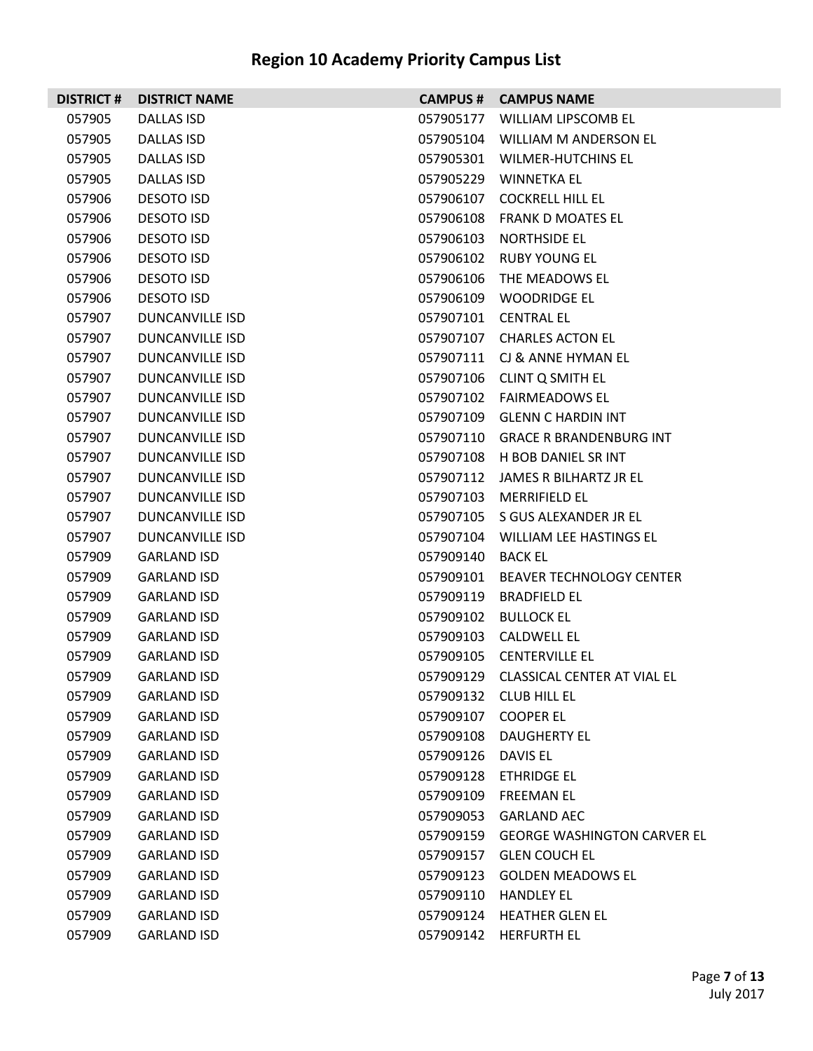|        | <b>DISTRICT # DISTRICT NAME</b> |           | <b>CAMPUS # CAMPUS NAME</b>           |
|--------|---------------------------------|-----------|---------------------------------------|
| 057905 | <b>DALLAS ISD</b>               |           | 057905177 WILLIAM LIPSCOMB EL         |
| 057905 | <b>DALLAS ISD</b>               |           | 057905104 WILLIAM M ANDERSON EL       |
| 057905 | <b>DALLAS ISD</b>               |           | 057905301 WILMER-HUTCHINS EL          |
| 057905 | <b>DALLAS ISD</b>               |           | 057905229 WINNETKA EL                 |
| 057906 | <b>DESOTO ISD</b>               |           | 057906107 COCKRELL HILL EL            |
| 057906 | <b>DESOTO ISD</b>               | 057906108 | <b>FRANK D MOATES EL</b>              |
| 057906 | <b>DESOTO ISD</b>               | 057906103 | NORTHSIDE EL                          |
| 057906 | <b>DESOTO ISD</b>               | 057906102 | <b>RUBY YOUNG EL</b>                  |
| 057906 | <b>DESOTO ISD</b>               |           | 057906106 THE MEADOWS EL              |
| 057906 | <b>DESOTO ISD</b>               |           | 057906109 WOODRIDGE EL                |
| 057907 | <b>DUNCANVILLE ISD</b>          |           | 057907101 CENTRAL EL                  |
| 057907 | DUNCANVILLE ISD                 |           | 057907107 CHARLES ACTON EL            |
| 057907 | <b>DUNCANVILLE ISD</b>          |           | 057907111 CJ & ANNE HYMAN EL          |
| 057907 | <b>DUNCANVILLE ISD</b>          |           | 057907106 CLINT Q SMITH EL            |
| 057907 | <b>DUNCANVILLE ISD</b>          |           | 057907102 FAIRMEADOWS EL              |
| 057907 | DUNCANVILLE ISD                 |           | 057907109 GLENN C HARDIN INT          |
| 057907 | <b>DUNCANVILLE ISD</b>          |           | 057907110 GRACE R BRANDENBURG INT     |
| 057907 | <b>DUNCANVILLE ISD</b>          |           | 057907108 H BOB DANIEL SR INT         |
| 057907 | <b>DUNCANVILLE ISD</b>          |           | 057907112 JAMES R BILHARTZ JR EL      |
| 057907 | DUNCANVILLE ISD                 | 057907103 | <b>MERRIFIELD EL</b>                  |
| 057907 | <b>DUNCANVILLE ISD</b>          |           | 057907105 S GUS ALEXANDER JR EL       |
| 057907 | <b>DUNCANVILLE ISD</b>          |           | 057907104 WILLIAM LEE HASTINGS EL     |
| 057909 | <b>GARLAND ISD</b>              | 057909140 | <b>BACK EL</b>                        |
| 057909 | <b>GARLAND ISD</b>              | 057909101 | <b>BEAVER TECHNOLOGY CENTER</b>       |
| 057909 | <b>GARLAND ISD</b>              | 057909119 | <b>BRADFIELD EL</b>                   |
| 057909 | <b>GARLAND ISD</b>              | 057909102 | <b>BULLOCK EL</b>                     |
| 057909 | <b>GARLAND ISD</b>              |           | 057909103 CALDWELL EL                 |
| 057909 | <b>GARLAND ISD</b>              |           | 057909105 CENTERVILLE EL              |
| 057909 | <b>GARLAND ISD</b>              |           | 057909129 CLASSICAL CENTER AT VIAL EL |
| 057909 | <b>GARLAND ISD</b>              | 057909132 | <b>CLUB HILL EL</b>                   |
| 057909 | <b>GARLAND ISD</b>              | 057909107 | <b>COOPER EL</b>                      |
| 057909 | <b>GARLAND ISD</b>              | 057909108 | DAUGHERTY EL                          |
| 057909 | <b>GARLAND ISD</b>              | 057909126 | DAVIS EL                              |
| 057909 | <b>GARLAND ISD</b>              | 057909128 | <b>ETHRIDGE EL</b>                    |
| 057909 | <b>GARLAND ISD</b>              | 057909109 | <b>FREEMAN EL</b>                     |
| 057909 | <b>GARLAND ISD</b>              | 057909053 | <b>GARLAND AEC</b>                    |
| 057909 | <b>GARLAND ISD</b>              | 057909159 | <b>GEORGE WASHINGTON CARVER EL</b>    |
| 057909 | <b>GARLAND ISD</b>              | 057909157 | <b>GLEN COUCH EL</b>                  |
| 057909 | <b>GARLAND ISD</b>              | 057909123 | <b>GOLDEN MEADOWS EL</b>              |
| 057909 | <b>GARLAND ISD</b>              | 057909110 | <b>HANDLEY EL</b>                     |
| 057909 | <b>GARLAND ISD</b>              | 057909124 | <b>HEATHER GLEN EL</b>                |
| 057909 | <b>GARLAND ISD</b>              | 057909142 | <b>HERFURTH EL</b>                    |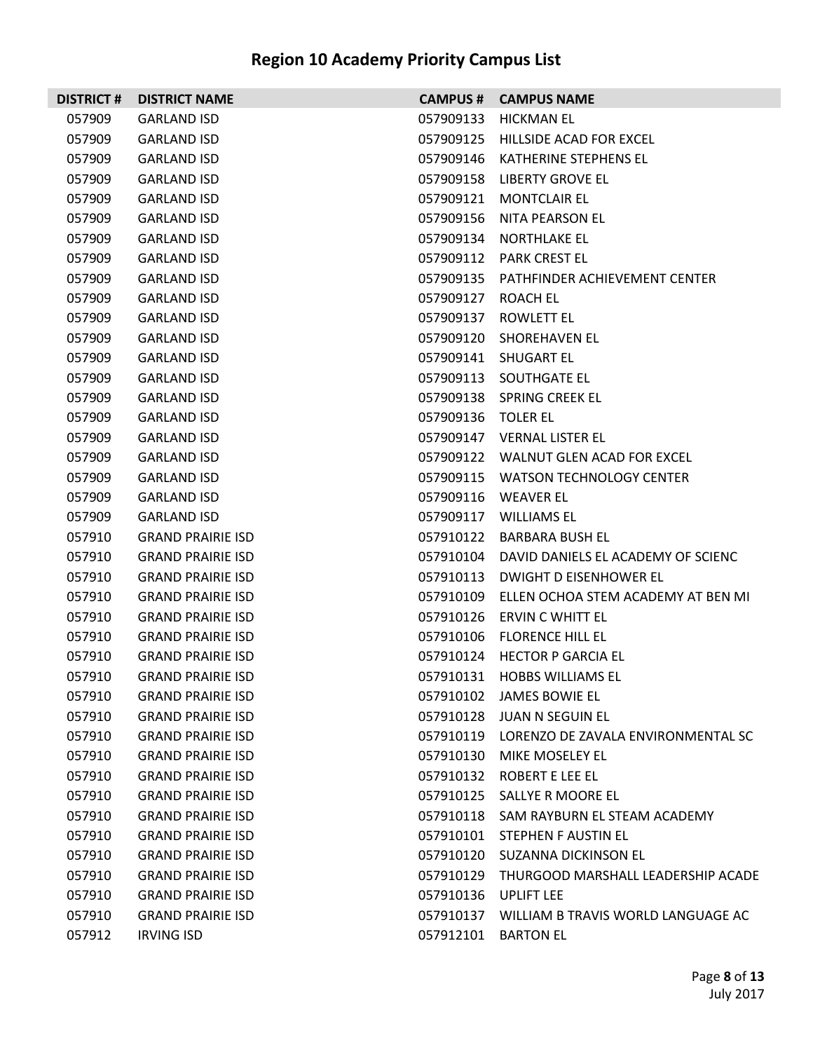| <b>DISTRICT#</b> | <b>DISTRICT NAME</b>     |                    | <b>CAMPUS # CAMPUS NAME</b>                  |
|------------------|--------------------------|--------------------|----------------------------------------------|
| 057909           | <b>GARLAND ISD</b>       | 057909133          | HICKMAN EL                                   |
| 057909           | <b>GARLAND ISD</b>       |                    | 057909125 HILLSIDE ACAD FOR EXCEL            |
| 057909           | <b>GARLAND ISD</b>       |                    | 057909146 KATHERINE STEPHENS EL              |
| 057909           | <b>GARLAND ISD</b>       |                    | 057909158 LIBERTY GROVE EL                   |
| 057909           | <b>GARLAND ISD</b>       | 057909121          | <b>MONTCLAIR EL</b>                          |
| 057909           | <b>GARLAND ISD</b>       | 057909156          | NITA PEARSON EL                              |
| 057909           | <b>GARLAND ISD</b>       |                    | 057909134 NORTHLAKE EL                       |
| 057909           | <b>GARLAND ISD</b>       |                    | 057909112 PARK CREST EL                      |
| 057909           | <b>GARLAND ISD</b>       |                    | 057909135 PATHFINDER ACHIEVEMENT CENTER      |
| 057909           | <b>GARLAND ISD</b>       | 057909127 ROACH EL |                                              |
| 057909           | <b>GARLAND ISD</b>       | 057909137          | ROWLETT EL                                   |
| 057909           | <b>GARLAND ISD</b>       |                    | 057909120 SHOREHAVEN EL                      |
| 057909           | <b>GARLAND ISD</b>       |                    | 057909141 SHUGART EL                         |
| 057909           | <b>GARLAND ISD</b>       |                    | 057909113 SOUTHGATE EL                       |
| 057909           | <b>GARLAND ISD</b>       |                    | 057909138 SPRING CREEK EL                    |
| 057909           | <b>GARLAND ISD</b>       | 057909136 TOLER EL |                                              |
| 057909           | <b>GARLAND ISD</b>       |                    | 057909147 VERNAL LISTER EL                   |
| 057909           | <b>GARLAND ISD</b>       |                    | 057909122 WALNUT GLEN ACAD FOR EXCEL         |
| 057909           | <b>GARLAND ISD</b>       |                    | 057909115 WATSON TECHNOLOGY CENTER           |
| 057909           | <b>GARLAND ISD</b>       |                    | 057909116 WEAVER EL                          |
| 057909           | <b>GARLAND ISD</b>       |                    | 057909117 WILLIAMS EL                        |
| 057910           | <b>GRAND PRAIRIE ISD</b> |                    | 057910122 BARBARA BUSH EL                    |
| 057910           | <b>GRAND PRAIRIE ISD</b> |                    | 057910104 DAVID DANIELS EL ACADEMY OF SCIENC |
| 057910           | <b>GRAND PRAIRIE ISD</b> |                    | 057910113 DWIGHT D EISENHOWER EL             |
| 057910           | <b>GRAND PRAIRIE ISD</b> |                    | 057910109 ELLEN OCHOA STEM ACADEMY AT BEN MI |
| 057910           | <b>GRAND PRAIRIE ISD</b> |                    | 057910126 ERVIN C WHITT EL                   |
| 057910           | <b>GRAND PRAIRIE ISD</b> |                    | 057910106 FLORENCE HILL EL                   |
| 057910           | <b>GRAND PRAIRIE ISD</b> |                    | 057910124 HECTOR P GARCIA EL                 |
| 057910           | <b>GRAND PRAIRIE ISD</b> |                    | 057910131 HORRS WILLIAMS FL                  |
| 057910           | <b>GRAND PRAIRIE ISD</b> |                    | 057910102 JAMES BOWIE EL                     |
| 057910           | <b>GRAND PRAIRIE ISD</b> |                    | 057910128 JUAN N SEGUIN EL                   |
| 057910           | <b>GRAND PRAIRIE ISD</b> |                    | 057910119 LORENZO DE ZAVALA ENVIRONMENTAL SC |
| 057910           | <b>GRAND PRAIRIE ISD</b> |                    | 057910130 MIKE MOSELEY EL                    |
| 057910           | <b>GRAND PRAIRIE ISD</b> |                    | 057910132 ROBERT E LEE EL                    |
| 057910           | <b>GRAND PRAIRIE ISD</b> |                    | 057910125 SALLYE R MOORE EL                  |
| 057910           | <b>GRAND PRAIRIE ISD</b> |                    | 057910118 SAM RAYBURN EL STEAM ACADEMY       |
| 057910           | <b>GRAND PRAIRIE ISD</b> |                    | 057910101 STEPHEN F AUSTIN EL                |
| 057910           | <b>GRAND PRAIRIE ISD</b> |                    | 057910120 SUZANNA DICKINSON EL               |
| 057910           | <b>GRAND PRAIRIE ISD</b> |                    | 057910129 THURGOOD MARSHALL LEADERSHIP ACADE |
| 057910           | <b>GRAND PRAIRIE ISD</b> |                    | 057910136 UPLIFT LEE                         |
| 057910           | <b>GRAND PRAIRIE ISD</b> |                    | 057910137 WILLIAM B TRAVIS WORLD LANGUAGE AC |
| 057912           | <b>IRVING ISD</b>        |                    | 057912101 BARTON EL                          |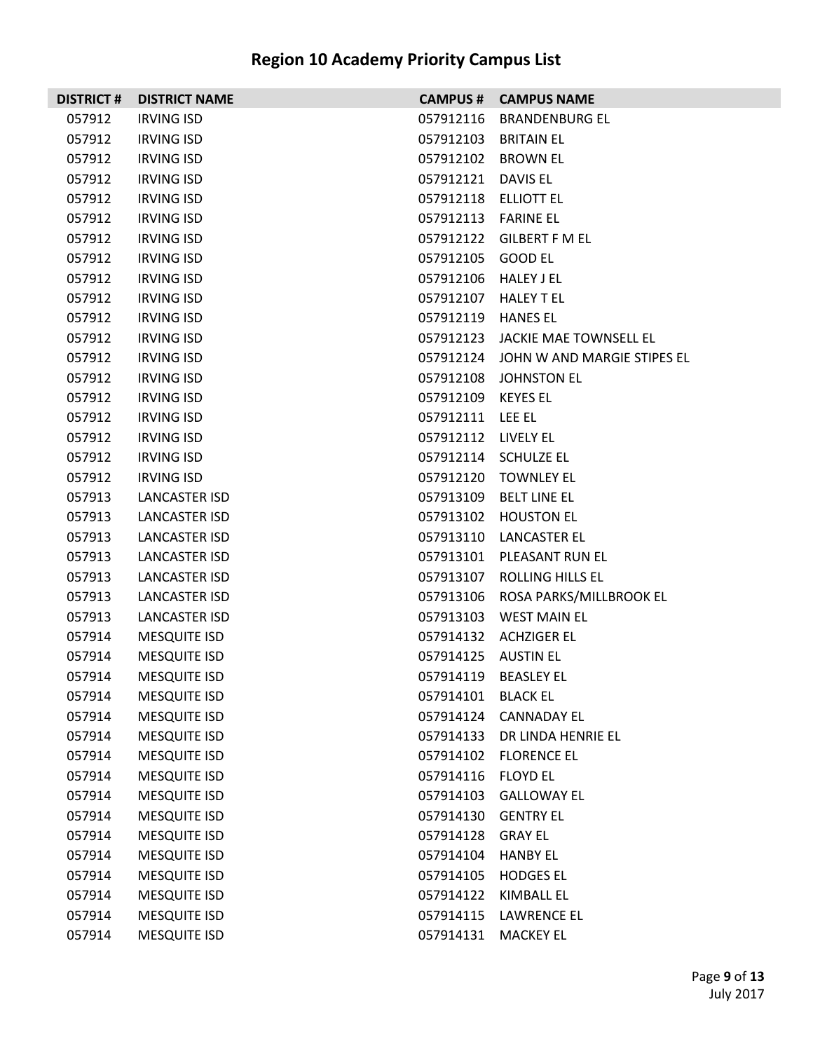| <b>DISTRICT #</b> | <b>DISTRICT NAME</b> |                        | <b>CAMPUS # CAMPUS NAME</b>           |
|-------------------|----------------------|------------------------|---------------------------------------|
| 057912            | <b>IRVING ISD</b>    |                        | 057912116 BRANDENBURG EL              |
| 057912            | <b>IRVING ISD</b>    |                        | 057912103 BRITAIN EL                  |
| 057912            | <b>IRVING ISD</b>    |                        | 057912102 BROWN EL                    |
| 057912            | <b>IRVING ISD</b>    | 057912121 DAVIS EL     |                                       |
| 057912            | <b>IRVING ISD</b>    |                        | 057912118 ELLIOTT EL                  |
| 057912            | <b>IRVING ISD</b>    | 057912113    FARINE EL |                                       |
| 057912            | <b>IRVING ISD</b>    |                        | 057912122 GILBERT F M EL              |
| 057912            | <b>IRVING ISD</b>    | 057912105 GOOD EL      |                                       |
| 057912            | <b>IRVING ISD</b>    | 057912106 HALEY J EL   |                                       |
| 057912            | <b>IRVING ISD</b>    |                        | 057912107 HALEY TEL                   |
| 057912            | <b>IRVING ISD</b>    | 057912119 HANES EL     |                                       |
| 057912            | <b>IRVING ISD</b>    |                        | 057912123 JACKIE MAE TOWNSELL EL      |
| 057912            | <b>IRVING ISD</b>    |                        | 057912124 JOHN W AND MARGIE STIPES EL |
| 057912            | <b>IRVING ISD</b>    |                        | 057912108 JOHNSTON EL                 |
| 057912            | <b>IRVING ISD</b>    | 057912109 KEYES EL     |                                       |
| 057912            | <b>IRVING ISD</b>    | 057912111 LEE EL       |                                       |
| 057912            | <b>IRVING ISD</b>    | 057912112 LIVELY EL    |                                       |
| 057912            | <b>IRVING ISD</b>    |                        | 057912114 SCHULZE EL                  |
| 057912            | <b>IRVING ISD</b>    |                        | 057912120 TOWNLEY EL                  |
| 057913            | LANCASTER ISD        |                        | 057913109 BELT LINE EL                |
| 057913            | <b>LANCASTER ISD</b> |                        | 057913102 HOUSTON EL                  |
| 057913            | LANCASTER ISD        |                        | 057913110 LANCASTER EL                |
| 057913            | LANCASTER ISD        |                        | 057913101 PLEASANT RUN EL             |
| 057913            | <b>LANCASTER ISD</b> |                        | 057913107 ROLLING HILLS EL            |
| 057913            | <b>LANCASTER ISD</b> |                        | 057913106 ROSA PARKS/MILLBROOK EL     |
| 057913            | LANCASTER ISD        |                        | 057913103 WEST MAIN EL                |
| 057914            | <b>MESQUITE ISD</b>  |                        | 057914132 ACHZIGER EL                 |
| 057914            | <b>MESQUITE ISD</b>  | 057914125 AUSTIN EL    |                                       |
| 057914            | <b>MESQUITE ISD</b>  |                        | 057914119 BEASLEY EL                  |
| 057914            | <b>MESQUITE ISD</b>  | 057914101 BLACK EL     |                                       |
| 057914            | <b>MESQUITE ISD</b>  |                        | 057914124 CANNADAY EL                 |
| 057914            | <b>MESQUITE ISD</b>  |                        | 057914133 DR LINDA HENRIE EL          |
| 057914            | <b>MESQUITE ISD</b>  |                        | 057914102 FLORENCE EL                 |
| 057914            | <b>MESQUITE ISD</b>  | 057914116 FLOYD EL     |                                       |
| 057914            | <b>MESQUITE ISD</b>  | 057914103              | <b>GALLOWAY EL</b>                    |
| 057914            | <b>MESQUITE ISD</b>  |                        | 057914130 GENTRY EL                   |
| 057914            | <b>MESQUITE ISD</b>  | 057914128 GRAY EL      |                                       |
| 057914            | <b>MESQUITE ISD</b>  | 057914104 HANBY EL     |                                       |
| 057914            | <b>MESQUITE ISD</b>  | 057914105              | <b>HODGES EL</b>                      |
| 057914            | <b>MESQUITE ISD</b>  |                        | 057914122 KIMBALL EL                  |
| 057914            | <b>MESQUITE ISD</b>  |                        | 057914115 LAWRENCE EL                 |
| 057914            | <b>MESQUITE ISD</b>  |                        | 057914131 MACKEY EL                   |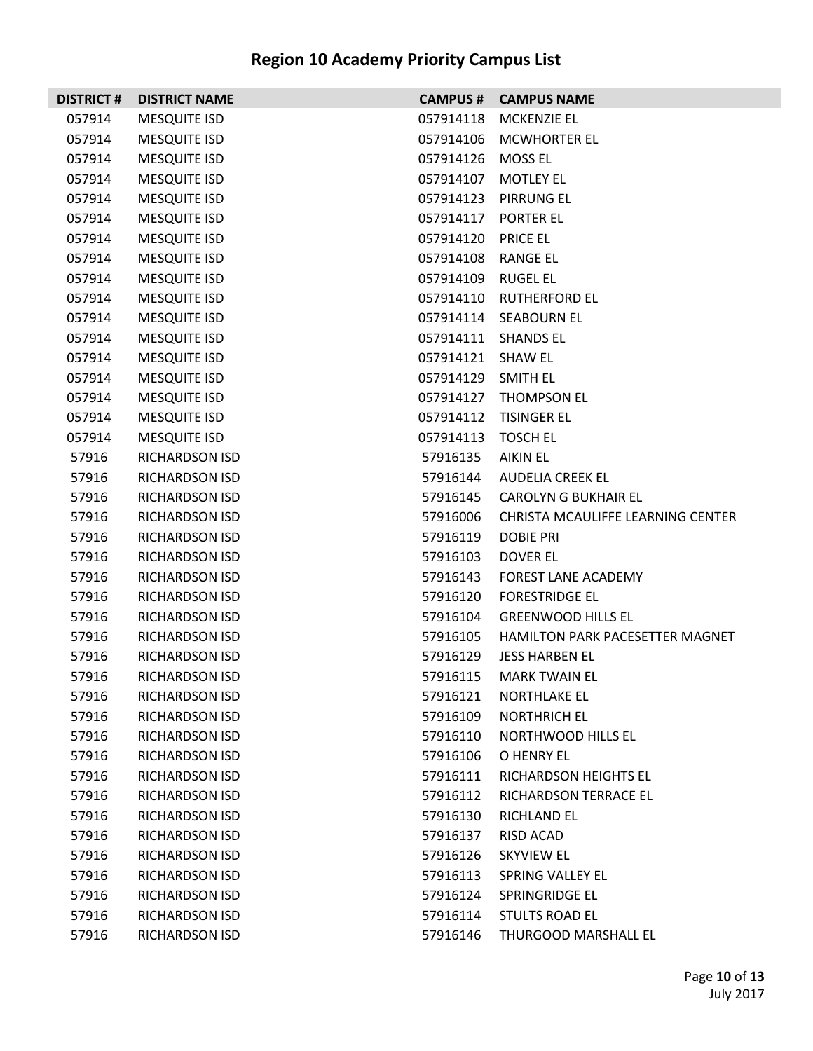|        | <b>DISTRICT # DISTRICT NAME</b> |                     | <b>CAMPUS # CAMPUS NAME</b>       |
|--------|---------------------------------|---------------------|-----------------------------------|
| 057914 | <b>MESQUITE ISD</b>             | 057914118           | <b>MCKENZIE EL</b>                |
| 057914 | <b>MESQUITE ISD</b>             | 057914106           | <b>MCWHORTER EL</b>               |
| 057914 | <b>MESQUITE ISD</b>             | 057914126           | MOSS EL                           |
| 057914 | <b>MESQUITE ISD</b>             | 057914107           | <b>MOTLEY EL</b>                  |
| 057914 | <b>MESQUITE ISD</b>             |                     | 057914123 PIRRUNG EL              |
| 057914 | <b>MESQUITE ISD</b>             | 057914117 PORTER EL |                                   |
| 057914 | <b>MESQUITE ISD</b>             | 057914120 PRICE EL  |                                   |
| 057914 | <b>MESQUITE ISD</b>             | 057914108 RANGE EL  |                                   |
| 057914 | <b>MESQUITE ISD</b>             | 057914109 RUGEL EL  |                                   |
| 057914 | <b>MESQUITE ISD</b>             |                     | 057914110 RUTHERFORD EL           |
| 057914 | <b>MESQUITE ISD</b>             |                     | 057914114 SEABOURN EL             |
| 057914 | <b>MESQUITE ISD</b>             | 057914111 SHANDS EL |                                   |
| 057914 | <b>MESQUITE ISD</b>             | 057914121 SHAW EL   |                                   |
| 057914 | <b>MESQUITE ISD</b>             | 057914129 SMITH EL  |                                   |
| 057914 | <b>MESQUITE ISD</b>             |                     | 057914127 THOMPSON EL             |
| 057914 | <b>MESQUITE ISD</b>             |                     | 057914112 TISINGER EL             |
| 057914 | <b>MESQUITE ISD</b>             | 057914113           | <b>TOSCH EL</b>                   |
| 57916  | <b>RICHARDSON ISD</b>           | 57916135            | AIKIN EL                          |
| 57916  | <b>RICHARDSON ISD</b>           | 57916144            | AUDELIA CREEK EL                  |
| 57916  | <b>RICHARDSON ISD</b>           | 57916145            | <b>CAROLYN G BUKHAIR EL</b>       |
| 57916  | RICHARDSON ISD                  | 57916006            | CHRISTA MCAULIFFE LEARNING CENTER |
| 57916  | <b>RICHARDSON ISD</b>           | 57916119            | <b>DOBIE PRI</b>                  |
| 57916  | <b>RICHARDSON ISD</b>           | 57916103            | DOVER EL                          |
| 57916  | <b>RICHARDSON ISD</b>           | 57916143            | <b>FOREST LANE ACADEMY</b>        |
| 57916  | RICHARDSON ISD                  | 57916120            | <b>FORESTRIDGE EL</b>             |
| 57916  | <b>RICHARDSON ISD</b>           | 57916104            | <b>GREENWOOD HILLS EL</b>         |
| 57916  | <b>RICHARDSON ISD</b>           | 57916105            | HAMILTON PARK PACESETTER MAGNET   |
| 57916  | RICHARDSON ISD                  | 57916129            | JESS HARBEN EL                    |
| 57916  | <b>RICHARDSON ISD</b>           | 57916115            | MARK TWAIN EL                     |
| 57916  | <b>RICHARDSON ISD</b>           | 57916121            | NORTHLAKE EL                      |
| 57916  | <b>RICHARDSON ISD</b>           | 57916109            | <b>NORTHRICH EL</b>               |
| 57916  | <b>RICHARDSON ISD</b>           | 57916110            | NORTHWOOD HILLS EL                |
| 57916  | <b>RICHARDSON ISD</b>           | 57916106            | O HENRY EL                        |
| 57916  | <b>RICHARDSON ISD</b>           | 57916111            | <b>RICHARDSON HEIGHTS EL</b>      |
| 57916  | <b>RICHARDSON ISD</b>           | 57916112            | RICHARDSON TERRACE EL             |
| 57916  | <b>RICHARDSON ISD</b>           | 57916130            | <b>RICHLAND EL</b>                |
| 57916  | <b>RICHARDSON ISD</b>           | 57916137            | RISD ACAD                         |
| 57916  | <b>RICHARDSON ISD</b>           | 57916126            | <b>SKYVIEW EL</b>                 |
| 57916  | <b>RICHARDSON ISD</b>           | 57916113            | SPRING VALLEY EL                  |
| 57916  | <b>RICHARDSON ISD</b>           | 57916124            | SPRINGRIDGE EL                    |
| 57916  | <b>RICHARDSON ISD</b>           | 57916114            | STULTS ROAD EL                    |
| 57916  | RICHARDSON ISD                  | 57916146            | THURGOOD MARSHALL EL              |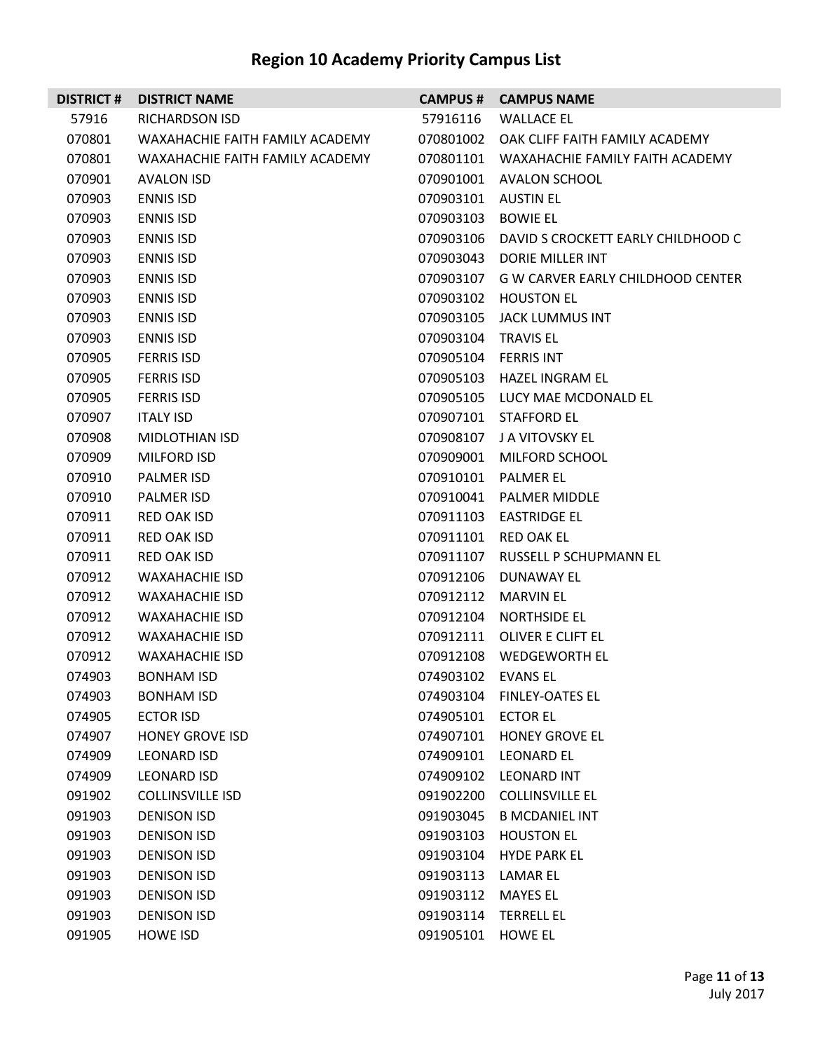|        | <b>DISTRICT # DISTRICT NAME</b> |                      | <b>CAMPUS # CAMPUS NAME</b>                  |
|--------|---------------------------------|----------------------|----------------------------------------------|
| 57916  | RICHARDSON ISD                  |                      | 57916116 WALLACE EL                          |
| 070801 | WAXAHACHIE FAITH FAMILY ACADEMY |                      | 070801002 OAK CLIFF FAITH FAMILY ACADEMY     |
| 070801 | WAXAHACHIE FAITH FAMILY ACADEMY |                      | 070801101 WAXAHACHIE FAMILY FAITH ACADEMY    |
| 070901 | <b>AVALON ISD</b>               |                      | 070901001 AVALON SCHOOL                      |
| 070903 | <b>ENNIS ISD</b>                | 070903101 AUSTIN EL  |                                              |
| 070903 | <b>ENNIS ISD</b>                | 070903103 BOWIE EL   |                                              |
| 070903 | <b>ENNIS ISD</b>                |                      | 070903106 DAVID S CROCKETT EARLY CHILDHOOD C |
| 070903 | <b>ENNIS ISD</b>                |                      | 070903043 DORIE MILLER INT                   |
| 070903 | <b>ENNIS ISD</b>                |                      | 070903107 G W CARVER EARLY CHILDHOOD CENTER  |
| 070903 | <b>ENNIS ISD</b>                |                      | 070903102 HOUSTON EL                         |
| 070903 | <b>ENNIS ISD</b>                |                      | 070903105 JACK LUMMUS INT                    |
| 070903 | <b>ENNIS ISD</b>                | 070903104 TRAVIS EL  |                                              |
| 070905 | <b>FERRIS ISD</b>               | 070905104 FERRIS INT |                                              |
| 070905 | <b>FERRIS ISD</b>               |                      | 070905103 HAZEL INGRAM EL                    |
| 070905 | <b>FERRIS ISD</b>               |                      | 070905105 LUCY MAE MCDONALD EL               |
| 070907 | <b>ITALY ISD</b>                |                      | 070907101 STAFFORD EL                        |
| 070908 | MIDLOTHIAN ISD                  |                      | 070908107 JA VITOVSKY EL                     |
| 070909 | <b>MILFORD ISD</b>              |                      | 070909001 MILFORD SCHOOL                     |
| 070910 | PALMER ISD                      |                      | 070910101 PALMER EL                          |
| 070910 | PALMER ISD                      |                      | 070910041 PALMER MIDDLE                      |
| 070911 | RED OAK ISD                     |                      | 070911103 EASTRIDGE EL                       |
| 070911 | <b>RED OAK ISD</b>              |                      | 070911101 RED OAK EL                         |
| 070911 | <b>RED OAK ISD</b>              |                      | 070911107 RUSSELL P SCHUPMANN EL             |
| 070912 | WAXAHACHIE ISD                  |                      | 070912106 DUNAWAY EL                         |
| 070912 | WAXAHACHIE ISD                  |                      | 070912112 MARVIN EL                          |
| 070912 | WAXAHACHIE ISD                  |                      | 070912104 NORTHSIDE EL                       |
| 070912 | <b>WAXAHACHIE ISD</b>           |                      | 070912111 OLIVER E CLIFT EL                  |
| 070912 | <b>WAXAHACHIE ISD</b>           |                      | 070912108 WEDGEWORTH EL                      |
| 074903 | <b>BONHAM ISD</b>               | 074903102 EVANS EL   |                                              |
| 074903 | <b>BONHAM ISD</b>               | 074903104            | <b>FINLEY-OATES EL</b>                       |
| 074905 | <b>ECTOR ISD</b>                | 074905101 ECTOR EL   |                                              |
| 074907 | <b>HONEY GROVE ISD</b>          | 074907101            | <b>HONEY GROVE EL</b>                        |
| 074909 | LEONARD ISD                     | 074909101            | <b>LEONARD EL</b>                            |
| 074909 | LEONARD ISD                     | 074909102            | LEONARD INT                                  |
| 091902 | <b>COLLINSVILLE ISD</b>         | 091902200            | <b>COLLINSVILLE EL</b>                       |
| 091903 | <b>DENISON ISD</b>              | 091903045            | <b>B MCDANIEL INT</b>                        |
| 091903 | <b>DENISON ISD</b>              | 091903103            | <b>HOUSTON EL</b>                            |
| 091903 | <b>DENISON ISD</b>              | 091903104            | <b>HYDE PARK EL</b>                          |
| 091903 | <b>DENISON ISD</b>              | 091903113 LAMAR EL   |                                              |
| 091903 | <b>DENISON ISD</b>              | 091903112            | <b>MAYES EL</b>                              |
| 091903 | <b>DENISON ISD</b>              | 091903114            | <b>TERRELL EL</b>                            |
| 091905 | <b>HOWE ISD</b>                 | 091905101            | <b>HOWE EL</b>                               |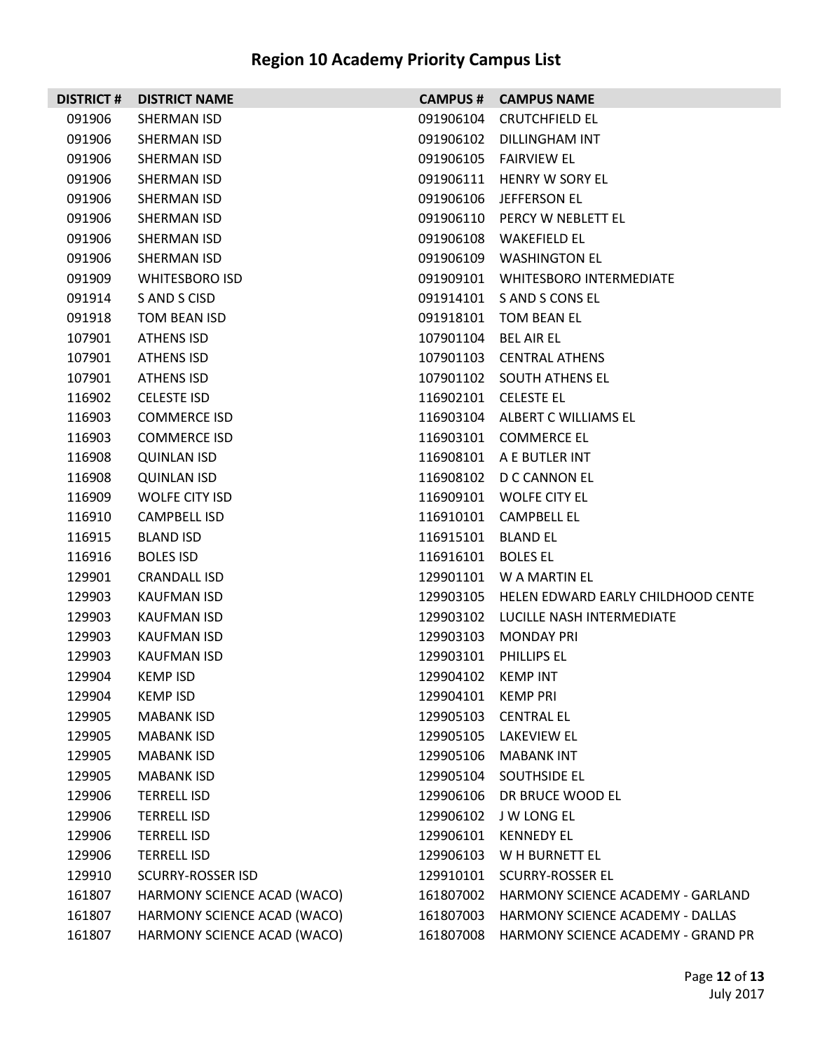| <b>DISTRICT#</b> | <b>DISTRICT NAME</b>        | <b>CAMPUS #</b>    | <b>CAMPUS NAME</b>                 |
|------------------|-----------------------------|--------------------|------------------------------------|
| 091906           | SHERMAN ISD                 | 091906104          | <b>CRUTCHFIELD EL</b>              |
| 091906           | SHERMAN ISD                 | 091906102          | DILLINGHAM INT                     |
| 091906           | SHERMAN ISD                 | 091906105          | <b>FAIRVIEW EL</b>                 |
| 091906           | SHERMAN ISD                 | 091906111          | HENRY W SORY EL                    |
| 091906           | SHERMAN ISD                 | 091906106          | JEFFERSON EL                       |
| 091906           | SHERMAN ISD                 | 091906110          | PERCY W NEBLETT EL                 |
| 091906           | SHERMAN ISD                 | 091906108          | WAKEFIELD EL                       |
| 091906           | SHERMAN ISD                 | 091906109          | WASHINGTON EL                      |
| 091909           | <b>WHITESBORO ISD</b>       | 091909101          | <b>WHITESBORO INTERMEDIATE</b>     |
| 091914           | S AND S CISD                | 091914101          | S AND S CONS EL                    |
| 091918           | TOM BEAN ISD                | 091918101          | TOM BEAN EL                        |
| 107901           | ATHENS ISD                  | 107901104          | BEL AIR EL                         |
| 107901           | ATHENS ISD                  |                    | 107901103 CENTRAL ATHENS           |
| 107901           | ATHENS ISD                  |                    | 107901102 SOUTH ATHENS EL          |
| 116902           | <b>CELESTE ISD</b>          |                    | 116902101 CELESTE EL               |
| 116903           | <b>COMMERCE ISD</b>         |                    | 116903104 ALBERT C WILLIAMS EL     |
| 116903           | <b>COMMERCE ISD</b>         |                    | 116903101 COMMERCE EL              |
| 116908           | <b>QUINLAN ISD</b>          |                    | 116908101 A E BUTLER INT           |
| 116908           | <b>QUINLAN ISD</b>          |                    | 116908102 D C CANNON EL            |
| 116909           | WOLFE CITY ISD              | 116909101          | WOLFE CITY EL                      |
| 116910           | <b>CAMPBELL ISD</b>         | 116910101          | <b>CAMPBELL EL</b>                 |
| 116915           | <b>BLAND ISD</b>            | 116915101          | BLAND EL                           |
| 116916           | <b>BOLES ISD</b>            | 116916101          | <b>BOLES EL</b>                    |
| 129901           | <b>CRANDALL ISD</b>         | 129901101          | W A MARTIN EL                      |
| 129903           | KAUFMAN ISD                 | 129903105          | HELEN EDWARD EARLY CHILDHOOD CENTE |
| 129903           | KAUFMAN ISD                 | 129903102          | LUCILLE NASH INTERMEDIATE          |
| 129903           | <b>KAUFMAN ISD</b>          | 129903103          | <b>MONDAY PRI</b>                  |
| 129903           | <b>KAUFMAN ISD</b>          | 129903101          | PHILLIPS EL                        |
| 129904           | <b>KEMP ISD</b>             | 129904102 KEMP INT |                                    |
| 129904           | <b>KEMP ISD</b>             | 129904101 KEMP PRI |                                    |
| 129905           | <b>MABANK ISD</b>           | 129905103          | <b>CENTRAL EL</b>                  |
| 129905           | <b>MABANK ISD</b>           | 129905105          | LAKEVIEW EL                        |
| 129905           | <b>MABANK ISD</b>           | 129905106          | <b>MABANK INT</b>                  |
| 129905           | <b>MABANK ISD</b>           | 129905104          | SOUTHSIDE EL                       |
| 129906           | <b>TERRELL ISD</b>          | 129906106          | DR BRUCE WOOD EL                   |
| 129906           | <b>TERRELL ISD</b>          | 129906102          | J W LONG EL                        |
| 129906           | <b>TERRELL ISD</b>          | 129906101          | <b>KENNEDY EL</b>                  |
| 129906           | <b>TERRELL ISD</b>          | 129906103          | W H BURNETT EL                     |
| 129910           | <b>SCURRY-ROSSER ISD</b>    | 129910101          | <b>SCURRY-ROSSER EL</b>            |
| 161807           | HARMONY SCIENCE ACAD (WACO) | 161807002          | HARMONY SCIENCE ACADEMY - GARLAND  |
| 161807           | HARMONY SCIENCE ACAD (WACO) | 161807003          | HARMONY SCIENCE ACADEMY - DALLAS   |
| 161807           | HARMONY SCIENCE ACAD (WACO) | 161807008          | HARMONY SCIENCE ACADEMY - GRAND PR |